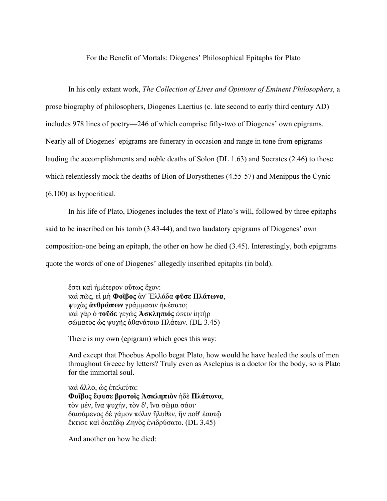For the Benefit of Mortals: Diogenes' Philosophical Epitaphs for Plato

In his only extant work, *The Collection of Lives and Opinions of Eminent Philosophers*, a prose biography of philosophers, Diogenes Laertius (c. late second to early third century AD) includes 978 lines of poetry—246 of which comprise fifty-two of Diogenes' own epigrams. Nearly all of Diogenes' epigrams are funerary in occasion and range in tone from epigrams lauding the accomplishments and noble deaths of Solon (DL 1.63) and Socrates (2.46) to those which relentlessly mock the deaths of Bion of Borysthenes (4.55-57) and Menippus the Cynic (6.100) as hypocritical.

In his life of Plato, Diogenes includes the text of Plato's will, followed by three epitaphs said to be inscribed on his tomb (3.43-44), and two laudatory epigrams of Diogenes' own composition-one being an epitaph, the other on how he died (3.45). Interestingly, both epigrams quote the words of one of Diogenes' allegedly inscribed epitaphs (in bold).

ἔστι καὶ ἡμέτερον οὕτως ἔχον: καὶ πῶς, εἰ μὴ **Φοῖβος** ἀν' Ἑλλάδα **φῦσε Πλάτωνα**, ψυχὰς **ἀνθρώπων** γράμμασιν ἠκέσατο; καὶ γὰρ ὁ **τοῦδε** γεγὼς **Ἀσκληπιός** ἐστιν ἰητὴρ σώματος ὡς ψυχῆς ἀθανάτοιο Πλάτων. (DL 3.45)

There is my own (epigram) which goes this way:

And except that Phoebus Apollo begat Plato, how would he have healed the souls of men throughout Greece by letters? Truly even as Asclepius is a doctor for the body, so is Plato for the immortal soul.

καὶ ἄλλο, ὡς ἐτελεύτα: **Φοῖβος ἔφυσε βροτοῖς Ἀσκληπιὸν** ἠδὲ **Πλάτωνα**, τὸν μέν, ἵνα ψυχήν, τὸν δ', ἵνα σῶμα σάοι· δαισάμενος δὲ γάμον πόλιν ἤλυθεν, ἥν ποθ' ἑαυτῷ ἔκτισε καὶ δαπέδῳ Ζηνὸς ἐνιδρύσατο. (DL 3.45)

And another on how he died: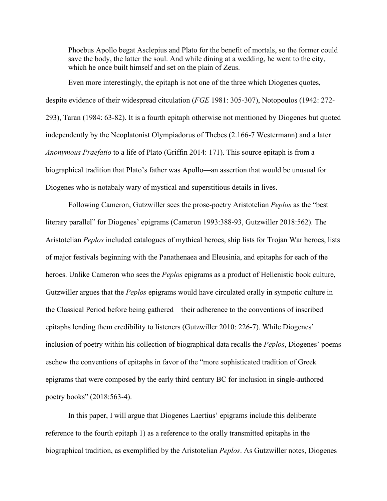Phoebus Apollo begat Asclepius and Plato for the benefit of mortals, so the former could save the body, the latter the soul. And while dining at a wedding, he went to the city, which he once built himself and set on the plain of Zeus.

Even more interestingly, the epitaph is not one of the three which Diogenes quotes, despite evidence of their widespread citculation (*FGE* 1981: 305-307), Notopoulos (1942: 272- 293), Taran (1984: 63-82). It is a fourth epitaph otherwise not mentioned by Diogenes but quoted independently by the Neoplatonist Olympiadorus of Thebes (2.166-7 Westermann) and a later *Anonymous Praefatio* to a life of Plato (Griffin 2014: 171). This source epitaph is from a biographical tradition that Plato's father was Apollo—an assertion that would be unusual for Diogenes who is notabaly wary of mystical and superstitious details in lives.

Following Cameron, Gutzwiller sees the prose-poetry Aristotelian *Peplos* as the "best literary parallel" for Diogenes' epigrams (Cameron 1993:388-93, Gutzwiller 2018:562). The Aristotelian *Peplos* included catalogues of mythical heroes, ship lists for Trojan War heroes, lists of major festivals beginning with the Panathenaea and Eleusinia, and epitaphs for each of the heroes. Unlike Cameron who sees the *Peplos* epigrams as a product of Hellenistic book culture, Gutzwiller argues that the *Peplos* epigrams would have circulated orally in sympotic culture in the Classical Period before being gathered—their adherence to the conventions of inscribed epitaphs lending them credibility to listeners (Gutzwiller 2010: 226-7). While Diogenes' inclusion of poetry within his collection of biographical data recalls the *Peplos*, Diogenes' poems eschew the conventions of epitaphs in favor of the "more sophisticated tradition of Greek epigrams that were composed by the early third century BC for inclusion in single-authored poetry books" (2018:563-4).

In this paper, I will argue that Diogenes Laertius' epigrams include this deliberate reference to the fourth epitaph 1) as a reference to the orally transmitted epitaphs in the biographical tradition, as exemplified by the Aristotelian *Peplos*. As Gutzwiller notes, Diogenes